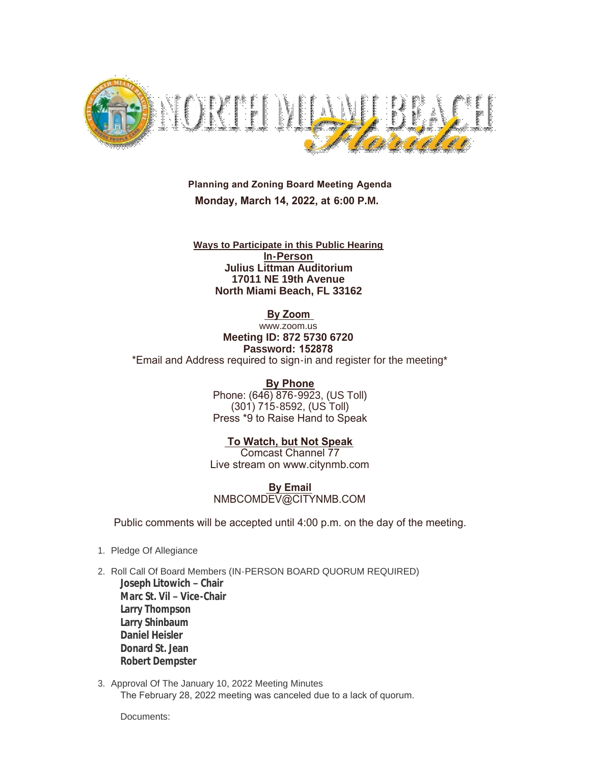

 **Planning and Zoning Board Meeting Agenda Monday, March 14, 2022, at 6:00 P.M.**

**Ways to Participate in this Public Hearing In-Person Julius Littman Auditorium 17011 NE 19th Avenue North Miami Beach, FL 33162**

 **By Zoom** 

www.zoom.us **Meeting ID: 872 5730 6720 Password: 152878** \*Email and Address required to sign-in and register for the meeting\*

> **By Phone** Phone: (646) 876-9923, (US Toll) (301) 715-8592, (US Toll) Press \*9 to Raise Hand to Speak

 **To Watch, but Not Speak** Comcast Channel 77 Live stream on www.citynmb.com

 **By Email** NMBCOMDEV@CITYNMB.COM

Public comments will be accepted until 4:00 p.m. on the day of the meeting.

- 1. Pledge Of Allegiance
- 2. Roll Call Of Board Members (IN-PERSON BOARD QUORUM REQUIRED) **Joseph Litowich – Chair Marc St. Vil – Vice-Chair Larry Thompson Larry Shinbaum Daniel Heisler Donard St. Jean Robert Dempster**
- 3. Approval Of The January 10, 2022 Meeting Minutes The February 28, 2022 meeting was canceled due to a lack of quorum.

Documents: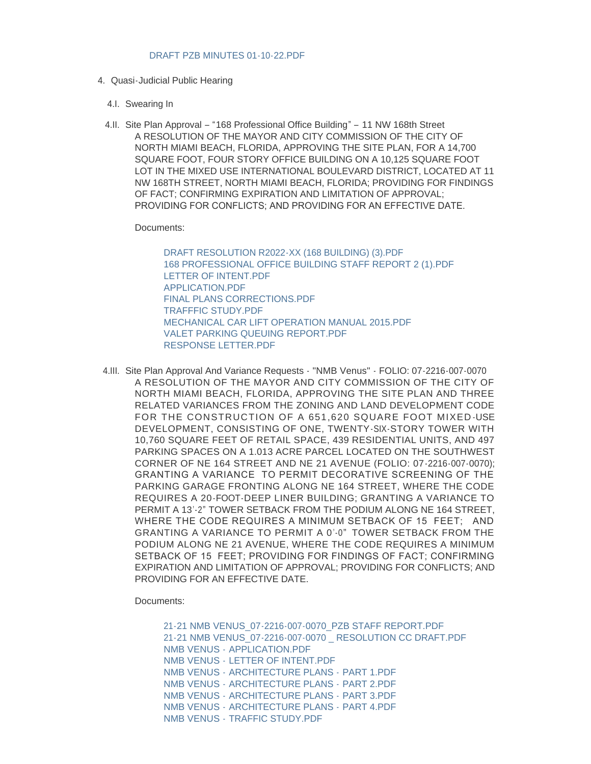- 4. Quasi-Judicial Public Hearing
	- 4.I. Swearing In
	- 4.II. Site Plan Approval "168 Professional Office Building" 11 NW 168th Street A RESOLUTION OF THE MAYOR AND CITY COMMISSION OF THE CITY OF NORTH MIAMI BEACH, FLORIDA, APPROVING THE SITE PLAN, FOR A 14,700 SQUARE FOOT, FOUR STORY OFFICE BUILDING ON A 10,125 SQUARE FOOT LOT IN THE MIXED USE INTERNATIONAL BOULEVARD DISTRICT, LOCATED AT 11 NW 168TH STREET, NORTH MIAMI BEACH, FLORIDA; PROVIDING FOR FINDINGS OF FACT; CONFIRMING EXPIRATION AND LIMITATION OF APPROVAL; PROVIDING FOR CONFLICTS; AND PROVIDING FOR AN EFFECTIVE DATE.

Documents:

[DRAFT RESOLUTION R2022-XX \(168 BUILDING\) \(3\).PDF](https://www.citynmb.com/AgendaCenter/ViewFile/Item/610?fileID=24405) [168 PROFESSIONAL OFFICE BUILDING STAFF REPORT 2 \(1\).PDF](https://www.citynmb.com/AgendaCenter/ViewFile/Item/610?fileID=24406) [LETTER OF INTENT.PDF](https://www.citynmb.com/AgendaCenter/ViewFile/Item/610?fileID=24362) [APPLICATION.PDF](https://www.citynmb.com/AgendaCenter/ViewFile/Item/610?fileID=24363) [FINAL PLANS CORRECTIONS.PDF](https://www.citynmb.com/AgendaCenter/ViewFile/Item/610?fileID=24404) [TRAFFFIC STUDY.PDF](https://www.citynmb.com/AgendaCenter/ViewFile/Item/610?fileID=24368) [MECHANICAL CAR LIFT OPERATION MANUAL 2015.PDF](https://www.citynmb.com/AgendaCenter/ViewFile/Item/610?fileID=24369) [VALET PARKING QUEUING REPORT.PDF](https://www.citynmb.com/AgendaCenter/ViewFile/Item/610?fileID=24370) [RESPONSE LETTER.PDF](https://www.citynmb.com/AgendaCenter/ViewFile/Item/610?fileID=24371)

4.III. Site Plan Approval And Variance Requests - "NMB Venus" - FOLIO: 07-2216-007-0070 A RESOLUTION OF THE MAYOR AND CITY COMMISSION OF THE CITY OF NORTH MIAMI BEACH, FLORIDA, APPROVING THE SITE PLAN AND THREE RELATED VARIANCES FROM THE ZONING AND LAND DEVELOPMENT CODE FOR THE CONSTRUCTION OF A 651,620 SQUARE FOOT MIXED USE DEVELOPMENT, CONSISTING OF ONE, TWENTY-SIX-STORY TOWER WITH 10,760 SQUARE FEET OF RETAIL SPACE, 439 RESIDENTIAL UNITS, AND 497 PARKING SPACES ON A 1.013 ACRE PARCEL LOCATED ON THE SOUTHWEST CORNER OF NE 164 STREET AND NE 21 AVENUE (FOLIO: 07-2216-007-0070); GRANTING A VARIANCE TO PERMIT DECORATIVE SCREENING OF THE PARKING GARAGE FRONTING ALONG NE 164 STREET, WHERE THE CODE REQUIRES A 20-FOOT-DEEP LINER BUILDING; GRANTING A VARIANCE TO PERMIT A 13'-2" TOWER SETBACK FROM THE PODIUM ALONG NE 164 STREET, WHERE THE CODE REQUIRES A MINIMUM SETBACK OF 15 FEET; AND GRANTING A VARIANCE TO PERMIT A 0'-0" TOWER SETBACK FROM THE PODIUM ALONG NE 21 AVENUE, WHERE THE CODE REQUIRES A MINIMUM SETBACK OF 15 FEET; PROVIDING FOR FINDINGS OF FACT; CONFIRMING EXPIRATION AND LIMITATION OF APPROVAL; PROVIDING FOR CONFLICTS; AND PROVIDING FOR AN EFFECTIVE DATE.

Documents:

[21-21 NMB VENUS\\_07-2216-007-0070\\_PZB STAFF REPORT.PDF](https://www.citynmb.com/AgendaCenter/ViewFile/Item/602?fileID=24275) [21-21 NMB VENUS\\_07-2216-007-0070 \\_ RESOLUTION CC DRAFT.PDF](https://www.citynmb.com/AgendaCenter/ViewFile/Item/602?fileID=24276) NMB VENUS - [APPLICATION.PDF](https://www.citynmb.com/AgendaCenter/ViewFile/Item/602?fileID=24265) NMB VENUS - [LETTER OF INTENT.PDF](https://www.citynmb.com/AgendaCenter/ViewFile/Item/602?fileID=24266) NMB VENUS - [ARCHITECTURE PLANS -](https://www.citynmb.com/AgendaCenter/ViewFile/Item/602?fileID=24267) PART 1.PDF NMB VENUS - [ARCHITECTURE PLANS -](https://www.citynmb.com/AgendaCenter/ViewFile/Item/602?fileID=24268) PART 2.PDF NMB VENUS - [ARCHITECTURE PLANS -](https://www.citynmb.com/AgendaCenter/ViewFile/Item/602?fileID=24269) PART 3.PDF NMB VENUS - [ARCHITECTURE PLANS -](https://www.citynmb.com/AgendaCenter/ViewFile/Item/602?fileID=24270) PART 4.PDF NMB VENUS - [TRAFFIC STUDY.PDF](https://www.citynmb.com/AgendaCenter/ViewFile/Item/602?fileID=24274)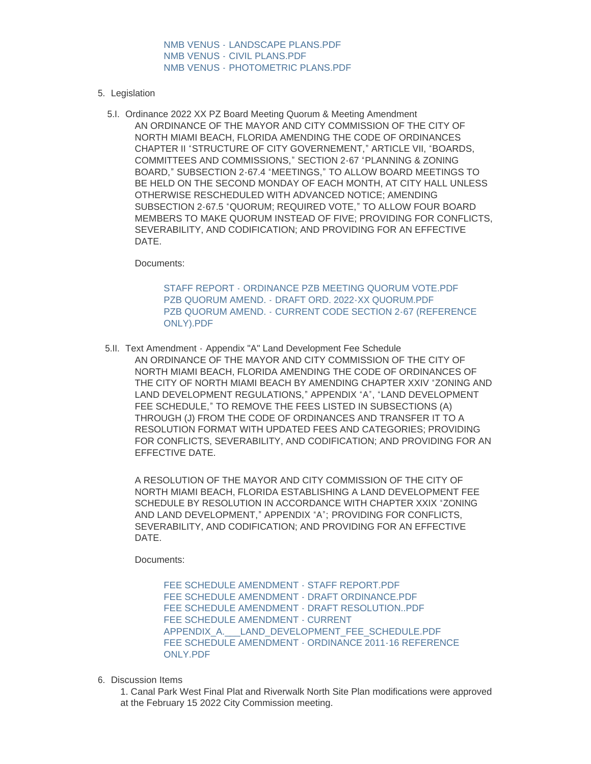NMB VENUS - [LANDSCAPE PLANS.PDF](https://www.citynmb.com/AgendaCenter/ViewFile/Item/602?fileID=24271) NMB VENUS - [CIVIL PLANS.PDF](https://www.citynmb.com/AgendaCenter/ViewFile/Item/602?fileID=24272) NMB VENUS - [PHOTOMETRIC PLANS.PDF](https://www.citynmb.com/AgendaCenter/ViewFile/Item/602?fileID=24273)

- 5. Legislation
	- 5.I. Ordinance 2022 XX PZ Board Meeting Quorum & Meeting Amendment AN ORDINANCE OF THE MAYOR AND CITY COMMISSION OF THE CITY OF NORTH MIAMI BEACH, FLORIDA AMENDING THE CODE OF ORDINANCES CHAPTER II "STRUCTURE OF CITY GOVERNEMENT," ARTICLE VII, "BOARDS, COMMITTEES AND COMMISSIONS," SECTION 2-67 "PLANNING & ZONING BOARD," SUBSECTION 2-67.4 "MEETINGS," TO ALLOW BOARD MEETINGS TO BE HELD ON THE SECOND MONDAY OF EACH MONTH, AT CITY HALL UNLESS OTHERWISE RESCHEDULED WITH ADVANCED NOTICE; AMENDING SUBSECTION 2-67.5 "QUORUM; REQUIRED VOTE," TO ALLOW FOUR BOARD MEMBERS TO MAKE QUORUM INSTEAD OF FIVE; PROVIDING FOR CONFLICTS, SEVERABILITY, AND CODIFICATION; AND PROVIDING FOR AN EFFECTIVE **DATE**

Documents:

STAFF REPORT - [ORDINANCE PZB MEETING QUORUM VOTE.PDF](https://www.citynmb.com/AgendaCenter/ViewFile/Item/603?fileID=24407) PZB QUORUM AMEND. - [DRAFT ORD. 2022-XX QUORUM.PDF](https://www.citynmb.com/AgendaCenter/ViewFile/Item/603?fileID=24400) PZB QUORUM AMEND. - [CURRENT CODE SECTION 2-67 \(REFERENCE](https://www.citynmb.com/AgendaCenter/ViewFile/Item/603?fileID=24401)  ONLY).PDF

5.II. Text Amendment - Appendix "A" Land Development Fee Schedule AN ORDINANCE OF THE MAYOR AND CITY COMMISSION OF THE CITY OF NORTH MIAMI BEACH, FLORIDA AMENDING THE CODE OF ORDINANCES OF THE CITY OF NORTH MIAMI BEACH BY AMENDING CHAPTER XXIV "ZONING AND LAND DEVELOPMENT REGULATIONS," APPENDIX "A", "LAND DEVELOPMENT FEE SCHEDULE," TO REMOVE THE FEES LISTED IN SUBSECTIONS (A) THROUGH (J) FROM THE CODE OF ORDINANCES AND TRANSFER IT TO A RESOLUTION FORMAT WITH UPDATED FEES AND CATEGORIES; PROVIDING FOR CONFLICTS, SEVERABILITY, AND CODIFICATION; AND PROVIDING FOR AN EFFECTIVE DATE.

A RESOLUTION OF THE MAYOR AND CITY COMMISSION OF THE CITY OF NORTH MIAMI BEACH, FLORIDA ESTABLISHING A LAND DEVELOPMENT FEE SCHEDULE BY RESOLUTION IN ACCORDANCE WITH CHAPTER XXIX "ZONING AND LAND DEVELOPMENT," APPENDIX "A"; PROVIDING FOR CONFLICTS, SEVERABILITY, AND CODIFICATION; AND PROVIDING FOR AN EFFECTIVE DATE.

Documents:

[FEE SCHEDULE AMENDMENT - STAFF REPORT.PDF](https://www.citynmb.com/AgendaCenter/ViewFile/Item/617?fileID=24390) FFE SCHEDULE AMENDMENT - DRAFT ORDINANCE PDF [FEE SCHEDULE AMENDMENT - DRAFT RESOLUTION..PDF](https://www.citynmb.com/AgendaCenter/ViewFile/Item/617?fileID=24395) FEE SCHEDULE AMENDMENT - CURRENT APPENDIX A. LAND\_DEVELOPMENT\_FEE\_SCHEDULE.PDF [FEE SCHEDULE AMENDMENT - ORDINANCE 2011-16 REFERENCE](https://www.citynmb.com/AgendaCenter/ViewFile/Item/617?fileID=24394)  ONLY.PDF

- 6. Discussion Items
	- 1. Canal Park West Final Plat and Riverwalk North Site Plan modifications were approved at the February 15 2022 City Commission meeting.